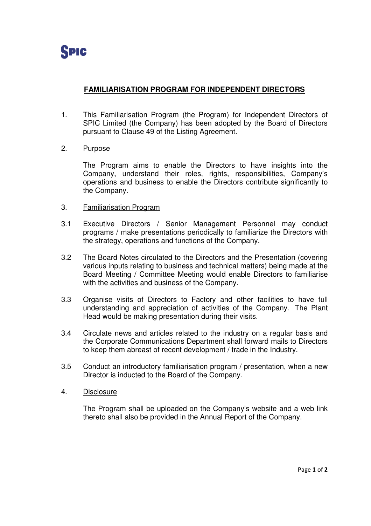

## **FAMILIARISATION PROGRAM FOR INDEPENDENT DIRECTORS**

- 1. This Familiarisation Program (the Program) for Independent Directors of SPIC Limited (the Company) has been adopted by the Board of Directors pursuant to Clause 49 of the Listing Agreement.
- 2. Purpose

The Program aims to enable the Directors to have insights into the Company, understand their roles, rights, responsibilities, Company's operations and business to enable the Directors contribute significantly to the Company.

- 3. Familiarisation Program
- 3.1 Executive Directors / Senior Management Personnel may conduct programs / make presentations periodically to familiarize the Directors with the strategy, operations and functions of the Company.
- 3.2 The Board Notes circulated to the Directors and the Presentation (covering various inputs relating to business and technical matters) being made at the Board Meeting / Committee Meeting would enable Directors to familiarise with the activities and business of the Company.
- 3.3 Organise visits of Directors to Factory and other facilities to have full understanding and appreciation of activities of the Company. The Plant Head would be making presentation during their visits.
- 3.4 Circulate news and articles related to the industry on a regular basis and the Corporate Communications Department shall forward mails to Directors to keep them abreast of recent development / trade in the Industry.
- 3.5 Conduct an introductory familiarisation program / presentation, when a new Director is inducted to the Board of the Company.
- 4. Disclosure

The Program shall be uploaded on the Company's website and a web link thereto shall also be provided in the Annual Report of the Company.